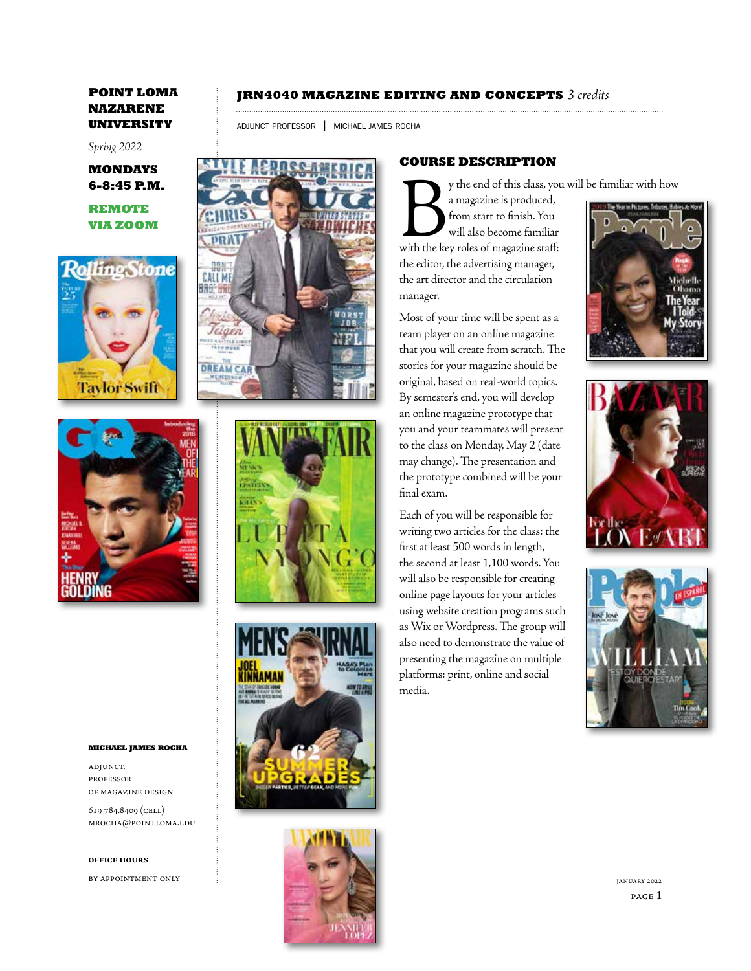*Spring 2022*

**MONDAYS 6-8:45 P.M.**

**REMOTE VIA ZOOM**





### **michael james rocha**

adjunct, professor of magazine design

619 784.8409 (cell) mrocha@pointloma.edu

### **office hours**

by appointment only

# **JRN4040 MAGAZINE EDITING AND CONCEPTS** *3 credits*

adjunct professor | michael james rocha









## **COURSE DESCRIPTION**

By the end of this class, you will be familiar with how

a magazine is produced, from start to finish. You will also become familiar with the key roles of magazine staff: the editor, the advertising manager, the art director and the circulation manager.

Most of your time will be spent as a team player on an online magazine that you will create from scratch. The stories for your magazine should be original, based on real-world topics. By semester's end, you will develop an online magazine prototype that you and your teammates will present to the class on Monday, May 2 (date may change). The presentation and the prototype combined will be your final exam.

Each of you will be responsible for writing two articles for the class: the first at least 500 words in length, the second at least 1,100 words. You will also be responsible for creating online page layouts for your articles using website creation programs such as Wix or Wordpress. The group will also need to demonstrate the value of presenting the magazine on multiple platforms: print, online and social media.





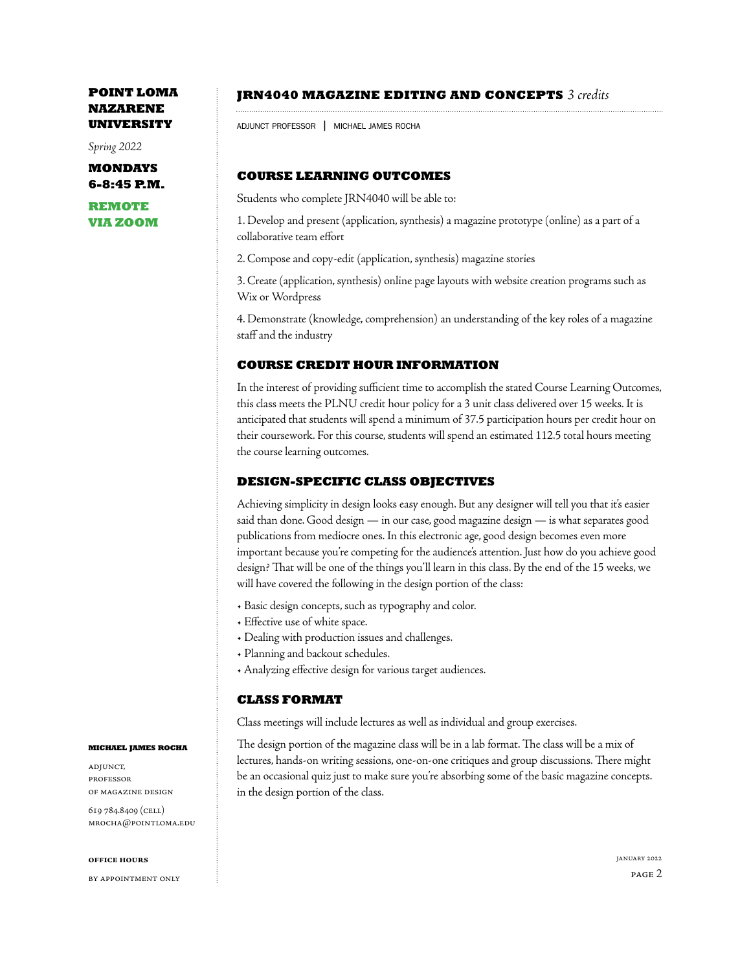*Spring 2022*

**MONDAYS 6-8:45 P.M.**

**REMOTE VIA ZOOM**

## **JRN4040 MAGAZINE EDITING AND CONCEPTS** *3 credits*

adjunct professor | michael james rocha

## **COURSE LEARNING OUTCOMES**

Students who complete JRN4040 will be able to:

1. Develop and present (application, synthesis) a magazine prototype (online) as a part of a collaborative team effort

2. Compose and copy-edit (application, synthesis) magazine stories

3. Create (application, synthesis) online page layouts with website creation programs such as Wix or Wordpress

4. Demonstrate (knowledge, comprehension) an understanding of the key roles of a magazine staff and the industry

## **COURSE CREDIT HOUR INFORMATION**

In the interest of providing sufficient time to accomplish the stated Course Learning Outcomes, this class meets the PLNU credit hour policy for a 3 unit class delivered over 15 weeks. It is anticipated that students will spend a minimum of 37.5 participation hours per credit hour on their coursework. For this course, students will spend an estimated 112.5 total hours meeting the course learning outcomes.

## **DESIGN-SPECIFIC CLASS OBJECTIVES**

Achieving simplicity in design looks easy enough. But any designer will tell you that it's easier said than done. Good design — in our case, good magazine design — is what separates good publications from mediocre ones. In this electronic age, good design becomes even more important because you're competing for the audience's attention. Just how do you achieve good design? That will be one of the things you'll learn in this class. By the end of the 15 weeks, we will have covered the following in the design portion of the class:

- Basic design concepts, such as typography and color.
- Effective use of white space.
- Dealing with production issues and challenges.
- Planning and backout schedules.
- Analyzing effective design for various target audiences.

## **CLASS FORMAT**

Class meetings will include lectures as well as individual and group exercises.

The design portion of the magazine class will be in a lab format. The class will be a mix of lectures, hands-on writing sessions, one-on-one critiques and group discussions. There might be an occasional quiz just to make sure you're absorbing some of the basic magazine concepts. in the design portion of the class.

### **michael james rocha**

adjunct, professor of magazine design

619 784.8409 (cell) mrocha@pointloma.edu

### **office hours**

by appointment only

page 2 january 2022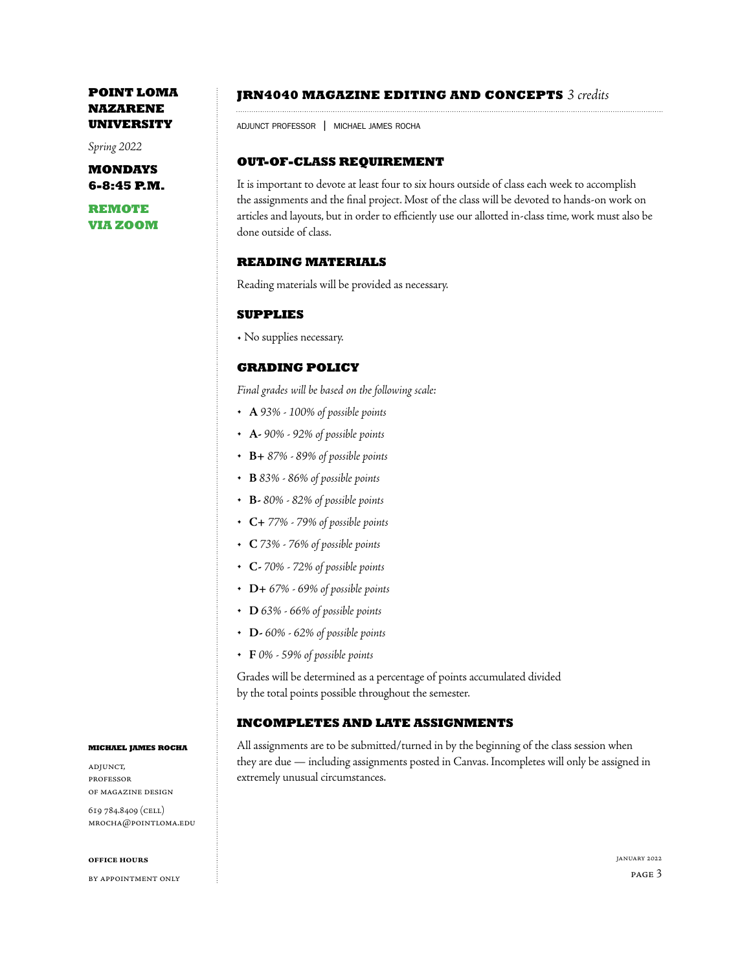*Spring 2022*

**MONDAYS 6-8:45 P.M.**

**REMOTE VIA ZOOM**

### **JRN4040 MAGAZINE EDITING AND CONCEPTS** *3 credits*

adjunct professor | michael james rocha

## **OUT-OF-CLASS REQUIREMENT**

It is important to devote at least four to six hours outside of class each week to accomplish the assignments and the final project. Most of the class will be devoted to hands-on work on articles and layouts, but in order to efficiently use our allotted in-class time, work must also be done outside of class.

## **READING MATERIALS**

Reading materials will be provided as necessary.

## **SUPPLIES**

• No supplies necessary.

## **GRADING POLICY**

*Final grades will be based on the following scale:*

- **A** *93% 100% of possible points*
- **A-** *90% 92% of possible points*
- **B+** *87% 89% of possible points*
- **B** *83% 86% of possible points*
- **B-** *80% 82% of possible points*
- **C+** *77% 79% of possible points*
- **C** *73% 76% of possible points*
- **C-** *70% 72% of possible points*
- **D+** *67% 69% of possible points*
- **D** *63% 66% of possible points*
- **D-** *60% 62% of possible points*
- **F** *0% 59% of possible points*

Grades will be determined as a percentage of points accumulated divided by the total points possible throughout the semester.

## **INCOMPLETES AND LATE ASSIGNMENTS**

All assignments are to be submitted/turned in by the beginning of the class session when they are due — including assignments posted in Canvas. Incompletes will only be assigned in extremely unusual circumstances.

### **michael james rocha**

adjunct, professor of magazine design

619 784.8409 (cell) mrocha@pointloma.edu

### **office hours**

by appointment only

page 3 january 2022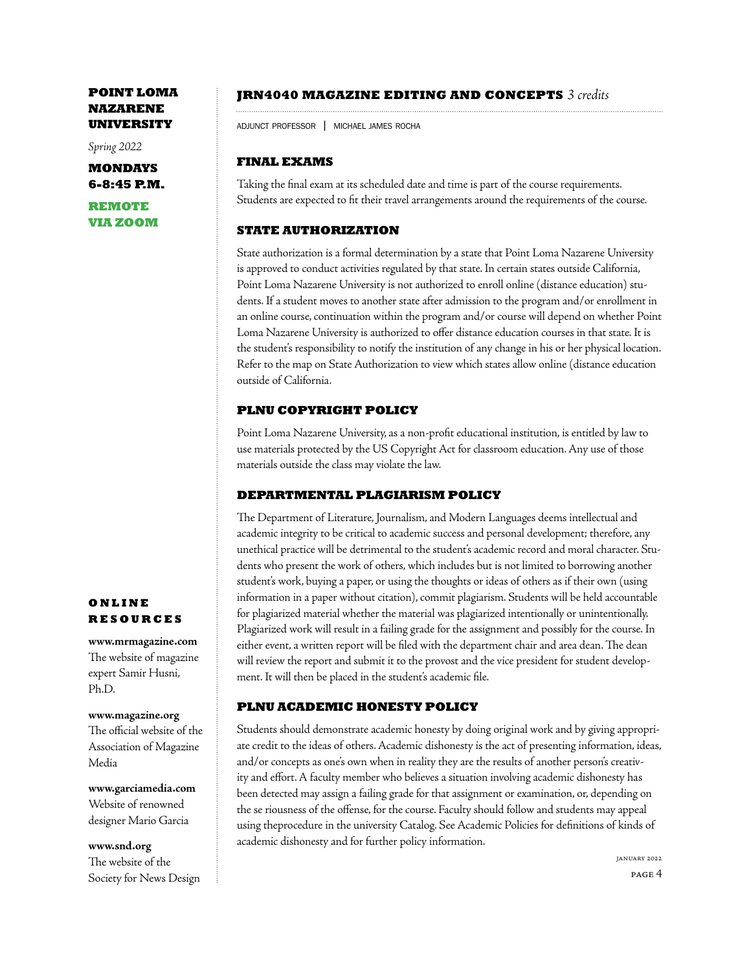*Spring 2022*

**MONDAYS 6-8:45 P.M.**

**REMOTE VIA ZOOM**

## **JRN4040 MAGAZINE EDITING AND CONCEPTS** *3 credits*

adjunct professor | michael james rocha

# **FINAL EXAMS**

Taking the final exam at its scheduled date and time is part of the course requirements. Students are expected to fit their travel arrangements around the requirements of the course.

# **STATE AUTHORIZATION**

State authorization is a formal determination by a state that Point Loma Nazarene University is approved to conduct activities regulated by that state. In certain states outside California, Point Loma Nazarene University is not authorized to enroll online (distance education) students. If a student moves to another state after admission to the program and/or enrollment in an online course, continuation within the program and/or course will depend on whether Point Loma Nazarene University is authorized to offer distance education courses in that state. It is the student's responsibility to notify the institution of any change in his or her physical location. Refer to the map on State Authorization to view which states allow online (distance education outside of California.

# **PLNU COPYRIGHT POLICY**

Point Loma Nazarene University, as a non-profit educational institution, is entitled by law to use materials protected by the US Copyright Act for classroom education. Any use of those materials outside the class may violate the law.

# **DEPARTMENTAL PLAGIARISM POLICY**

The Department of Literature, Journalism, and Modern Languages deems intellectual and academic integrity to be critical to academic success and personal development; therefore, any unethical practice will be detrimental to the student's academic record and moral character. Students who present the work of others, which includes but is not limited to borrowing another student's work, buying a paper, or using the thoughts or ideas of others as if their own (using information in a paper without citation), commit plagiarism. Students will be held accountable for plagiarized material whether the material was plagiarized intentionally or unintentionally. Plagiarized work will result in a failing grade for the assignment and possibly for the course. In either event, a written report will be filed with the department chair and area dean. The dean will review the report and submit it to the provost and the vice president for student development. It will then be placed in the student's academic file.

# **PLNU ACADEMIC HONESTY POLICY**

Students should demonstrate academic honesty by doing original work and by giving appropriate credit to the ideas of others. Academic dishonesty is the act of presenting information, ideas, and/or concepts as one's own when in reality they are the results of another person's creativity and effort. A faculty member who believes a situation involving academic dishonesty has been detected may assign a failing grade for that assignment or examination, or, depending on the se riousness of the offense, for the course. Faculty should follow and students may appeal using theprocedure in the university Catalog. See Academic Policies for definitions of kinds of academic dishonesty and for further policy information.

# **ONLINE RESOURCES**

**www.mrmagazine.com**  The website of magazine expert Samir Husni, Ph.D.

## **www.magazine.org**

The official website of the Association of Magazine Media

**www.garciamedia.com** Website of renowned designer Mario Garcia

**www.snd.org**  The website of the Society for News Design

page 4 january 2022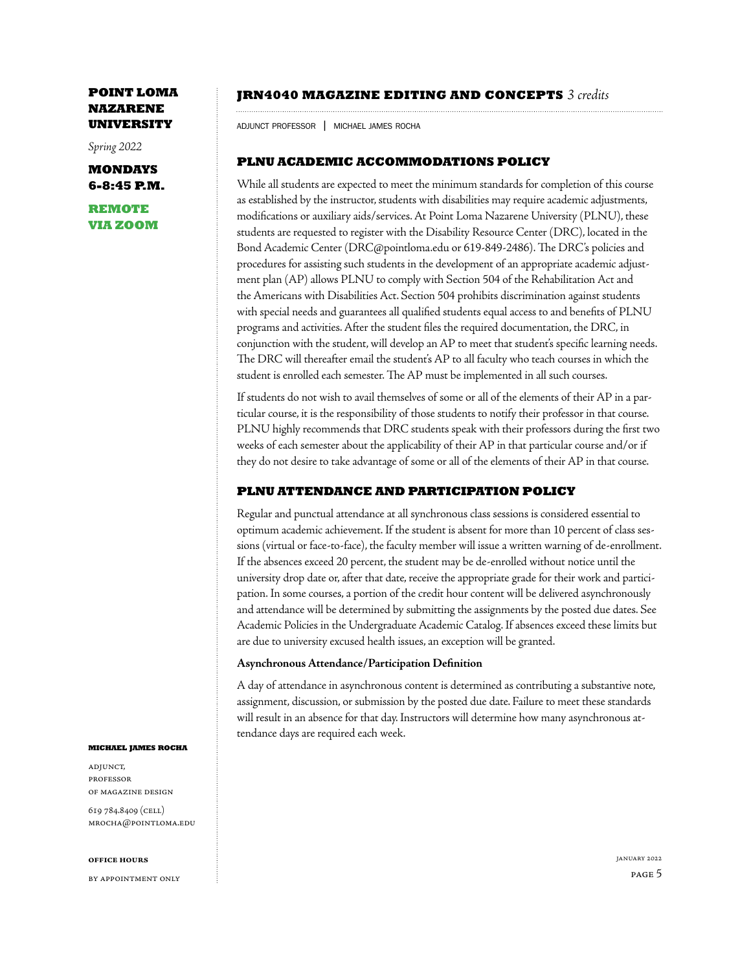*Spring 2022*

**MONDAYS 6-8:45 P.M.**

**REMOTE VIA ZOOM**

### **JRN4040 MAGAZINE EDITING AND CONCEPTS** *3 credits*

adjunct professor | michael james rocha

## **PLNU ACADEMIC ACCOMMODATIONS POLICY**

While all students are expected to meet the minimum standards for completion of this course as established by the instructor, students with disabilities may require academic adjustments, modifications or auxiliary aids/services. At Point Loma Nazarene University (PLNU), these students are requested to register with the Disability Resource Center (DRC), located in the Bond Academic Center (DRC@pointloma.edu or 619-849-2486). The DRC's policies and procedures for assisting such students in the development of an appropriate academic adjustment plan (AP) allows PLNU to comply with Section 504 of the Rehabilitation Act and the Americans with Disabilities Act. Section 504 prohibits discrimination against students with special needs and guarantees all qualified students equal access to and benefits of PLNU programs and activities. After the student files the required documentation, the DRC, in conjunction with the student, will develop an AP to meet that student's specific learning needs. The DRC will thereafter email the student's AP to all faculty who teach courses in which the student is enrolled each semester. The AP must be implemented in all such courses.

If students do not wish to avail themselves of some or all of the elements of their AP in a particular course, it is the responsibility of those students to notify their professor in that course. PLNU highly recommends that DRC students speak with their professors during the first two weeks of each semester about the applicability of their AP in that particular course and/or if they do not desire to take advantage of some or all of the elements of their AP in that course.

## **PLNU ATTENDANCE AND PARTICIPATION POLICY**

Regular and punctual attendance at all synchronous class sessions is considered essential to optimum academic achievement. If the student is absent for more than 10 percent of class sessions (virtual or face-to-face), the faculty member will issue a written warning of de-enrollment. If the absences exceed 20 percent, the student may be de-enrolled without notice until the university drop date or, after that date, receive the appropriate grade for their work and participation. In some courses, a portion of the credit hour content will be delivered asynchronously and attendance will be determined by submitting the assignments by the posted due dates. See Academic Policies in the Undergraduate Academic Catalog. If absences exceed these limits but are due to university excused health issues, an exception will be granted.

### **Asynchronous Attendance/Participation Definition**

A day of attendance in asynchronous content is determined as contributing a substantive note, assignment, discussion, or submission by the posted due date. Failure to meet these standards will result in an absence for that day. Instructors will determine how many asynchronous attendance days are required each week.

### **michael james rocha**

adjunct, professor of magazine design

619 784.8409 (cell) mrocha@pointloma.edu

#### **office hours**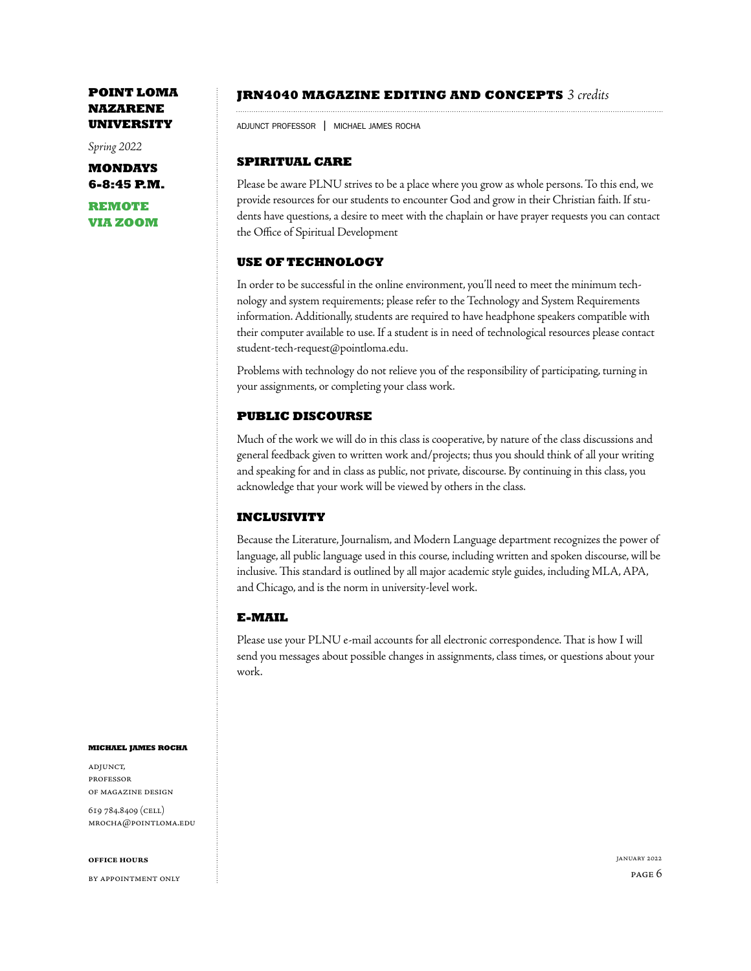*Spring 2022*

**MONDAYS 6-8:45 P.M.**

**REMOTE VIA ZOOM**

## **JRN4040 MAGAZINE EDITING AND CONCEPTS** *3 credits*

adjunct professor | michael james rocha

# **SPIRITUAL CARE**

Please be aware PLNU strives to be a place where you grow as whole persons. To this end, we provide resources for our students to encounter God and grow in their Christian faith. If students have questions, a desire to meet with the chaplain or have prayer requests you can contact the Office of Spiritual Development

## **USE OF TECHNOLOGY**

In order to be successful in the online environment, you'll need to meet the minimum technology and system requirements; please refer to the Technology and System Requirements information. Additionally, students are required to have headphone speakers compatible with their computer available to use. If a student is in need of technological resources please contact student-tech-request@pointloma.edu.

Problems with technology do not relieve you of the responsibility of participating, turning in your assignments, or completing your class work.

## **PUBLIC DISCOURSE**

Much of the work we will do in this class is cooperative, by nature of the class discussions and general feedback given to written work and/projects; thus you should think of all your writing and speaking for and in class as public, not private, discourse. By continuing in this class, you acknowledge that your work will be viewed by others in the class.

## **INCLUSIVITY**

Because the Literature, Journalism, and Modern Language department recognizes the power of language, all public language used in this course, including written and spoken discourse, will be inclusive. This standard is outlined by all major academic style guides, including MLA, APA, and Chicago, and is the norm in university-level work.

## **E-MAIL**

Please use your PLNU e-mail accounts for all electronic correspondence. That is how I will send you messages about possible changes in assignments, class times, or questions about your work.

### **michael james rocha**

adjunct, professor of magazine design

619 784.8409 (cell) mrocha@pointloma.edu

### **office hours**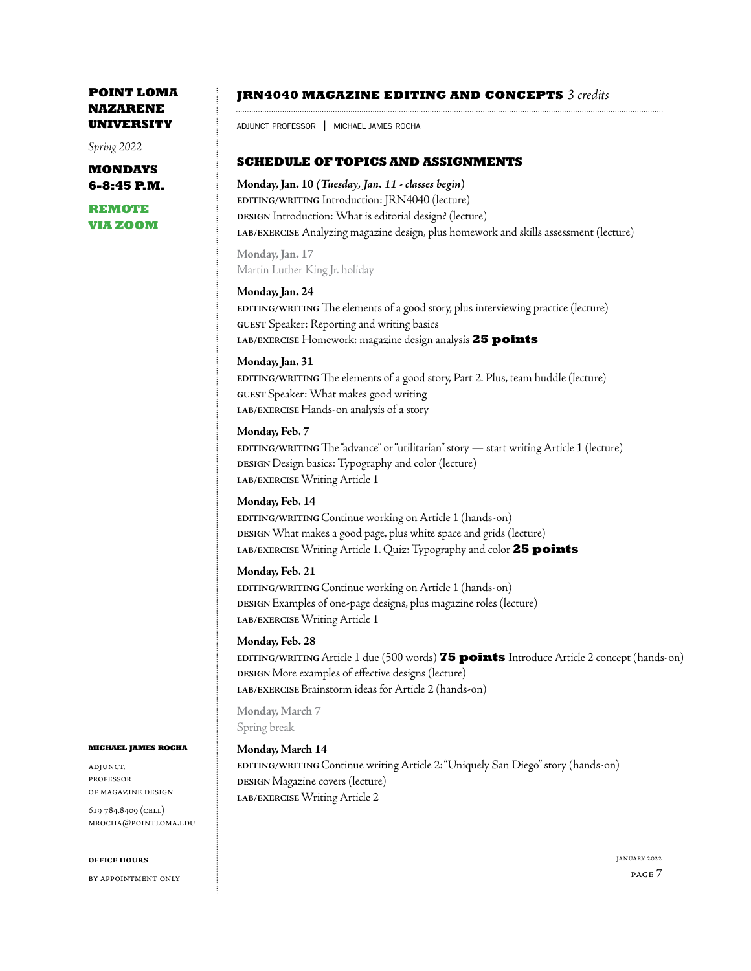*Spring 2022*

**MONDAYS 6-8:45 P.M.**

**REMOTE VIA ZOOM**

## **JRN4040 MAGAZINE EDITING AND CONCEPTS** *3 credits*

adjunct professor | michael james rocha

## **SCHEDULE OF TOPICS AND ASSIGNMENTS**

**Monday, Jan. 10** *(Tuesday, Jan. 11 - classes begin)*  **EDITING/WRITING** Introduction: JRN4040 (lecture) **DESIGN** Introduction: What is editorial design? (lecture) **LAB/EXERCISE** Analyzing magazine design, plus homework and skills assessment (lecture)

**Monday, Jan. 17**  Martin Luther King Jr. holiday

### **Monday, Jan. 24**

**EDITING/WRITING** The elements of a good story, plus interviewing practice (lecture) **GUEST** Speaker: Reporting and writing basics **LAB/EXERCISE** Homework: magazine design analysis **25 points**

### **Monday, Jan. 31**

**EDITING/WRITING** The elements of a good story, Part 2. Plus, team huddle (lecture) **GUEST** Speaker: What makes good writing **LAB/EXERCISE** Hands-on analysis of a story

### **Monday, Feb. 7**

**EDITING/WRITING** The "advance" or "utilitarian" story — start writing Article 1 (lecture) **DESIGN** Design basics: Typography and color (lecture) **LAB/EXERCISE** Writing Article 1

### **Monday, Feb. 14**

**EDITING/WRITING** Continue working on Article 1 (hands-on) **DESIGN** What makes a good page, plus white space and grids (lecture) **LAB/EXERCISE** Writing Article 1. Quiz: Typography and color **25 points**

### **Monday, Feb. 21**

**EDITING/WRITING** Continue working on Article 1 (hands-on) **DESIGN** Examples of one-page designs, plus magazine roles (lecture) **LAB/EXERCISE** Writing Article 1

### **Monday, Feb. 28**

**EDITING/WRITING** Article 1 due (500 words) **75 points** Introduce Article 2 concept (hands-on) **DESIGN** More examples of effective designs (lecture) **LAB/EXERCISE** Brainstorm ideas for Article 2 (hands-on)

**Monday, March 7** Spring break

### **Monday, March 14**

**EDITING/WRITING** Continue writing Article 2: "Uniquely San Diego" story (hands-on) **DESIGN** Magazine covers (lecture) **LAB/EXERCISE** Writing Article 2

### **michael james rocha**

adjunct, professor of magazine design

619 784.8409 (cell) mrocha@pointloma.edu

### **office hours**